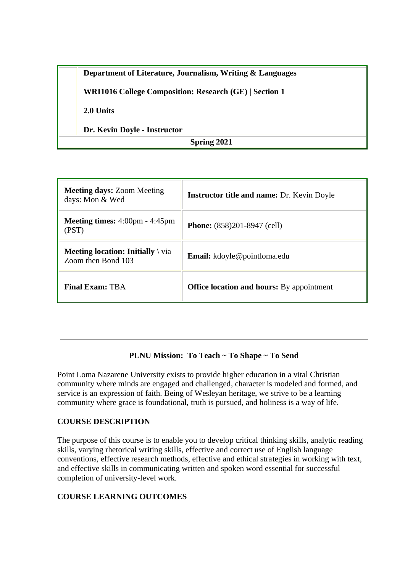|             | Department of Literature, Journalism, Writing & Languages     |  |
|-------------|---------------------------------------------------------------|--|
|             | <b>WRI1016 College Composition: Research (GE)   Section 1</b> |  |
|             | 2.0 Units                                                     |  |
|             | Dr. Kevin Doyle - Instructor                                  |  |
| Spring 2021 |                                                               |  |

| <b>Meeting days: Zoom Meeting</b><br>days: Mon & Wed                   | <b>Instructor title and name: Dr. Kevin Doyle</b> |
|------------------------------------------------------------------------|---------------------------------------------------|
| <b>Meeting times:</b> $4:00 \text{pm} - 4:45 \text{pm}$<br>(PST)       | <b>Phone:</b> (858)201-8947 (cell)                |
| <b>Meeting location: Initially</b> $\forall$ via<br>Zoom then Bond 103 | <b>Email:</b> kdoyle@pointloma.edu                |
| <b>Final Exam: TBA</b>                                                 | <b>Office location and hours:</b> By appointment  |

### **PLNU Mission: To Teach ~ To Shape ~ To Send**

Point Loma Nazarene University exists to provide higher education in a vital Christian community where minds are engaged and challenged, character is modeled and formed, and service is an expression of faith. Being of Wesleyan heritage, we strive to be a learning community where grace is foundational, truth is pursued, and holiness is a way of life.

### **COURSE DESCRIPTION**

The purpose of this course is to enable you to develop critical thinking skills, analytic reading skills, varying rhetorical writing skills, effective and correct use of English language conventions, effective research methods, effective and ethical strategies in working with text, and effective skills in communicating written and spoken word essential for successful completion of university-level work.

### **COURSE LEARNING OUTCOMES**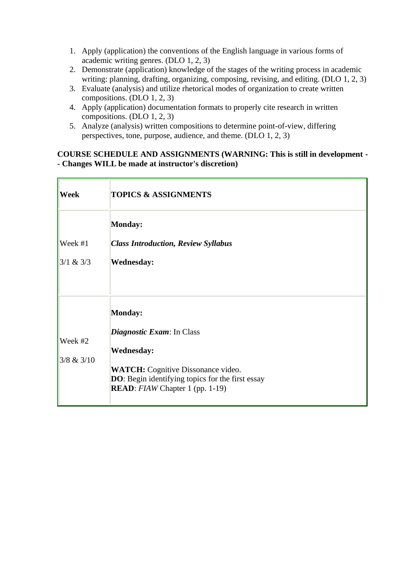- 1. Apply (application) the conventions of the English language in various forms of academic writing genres. (DLO 1, 2, 3)
- 2. Demonstrate (application) knowledge of the stages of the writing process in academic writing: planning, drafting, organizing, composing, revising, and editing. (DLO 1, 2, 3)
- 3. Evaluate (analysis) and utilize rhetorical modes of organization to create written compositions. (DLO 1, 2, 3)
- 4. Apply (application) documentation formats to properly cite research in written compositions. (DLO 1, 2, 3)
- 5. Analyze (analysis) written compositions to determine point-of-view, differing perspectives, tone, purpose, audience, and theme. (DLO 1, 2, 3)

## **COURSE SCHEDULE AND ASSIGNMENTS (WARNING: This is still in development - - Changes WILL be made at instructor's discretion)**

| Week                  | <b>TOPICS &amp; ASSIGNMENTS</b>                                                                                                                                                                                             |
|-----------------------|-----------------------------------------------------------------------------------------------------------------------------------------------------------------------------------------------------------------------------|
| Week #1<br> 3/1 & 3/3 | <b>Monday:</b><br><b>Class Introduction, Review Syllabus</b><br><b>Wednesday:</b>                                                                                                                                           |
| Week #2<br>3/8 & 3/10 | <b>Monday:</b><br><i>Diagnostic Exam:</i> In Class<br><b>Wednesday:</b><br><b>WATCH:</b> Cognitive Dissonance video.<br><b>DO</b> : Begin identifying topics for the first essay<br><b>READ</b> : FIAW Chapter 1 (pp. 1-19) |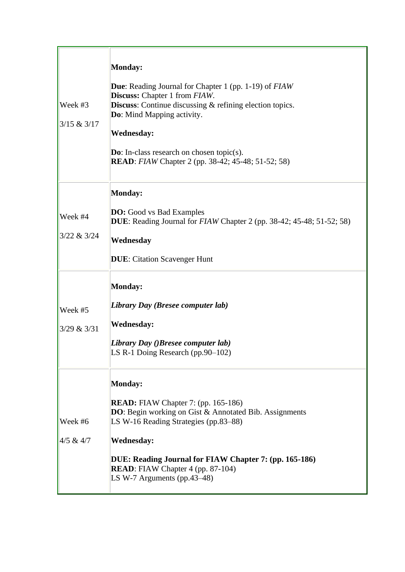| Week #3<br>3/15 & 3/17   | <b>Monday:</b><br><b>Due:</b> Reading Journal for Chapter 1 (pp. 1-19) of <i>FIAW</i><br><b>Discuss:</b> Chapter 1 from <i>FIAW</i> .<br><b>Discuss:</b> Continue discussing & refining election topics.<br>Do: Mind Mapping activity.<br><b>Wednesday:</b><br><b>Do:</b> In-class research on chosen topic(s).<br><b>READ</b> : <i>FIAW</i> Chapter 2 (pp. 38-42; 45-48; 51-52; 58) |
|--------------------------|--------------------------------------------------------------------------------------------------------------------------------------------------------------------------------------------------------------------------------------------------------------------------------------------------------------------------------------------------------------------------------------|
| Week #4<br>3/22 & 3/24   | <b>Monday:</b><br><b>DO:</b> Good vs Bad Examples<br>DUE: Reading Journal for FIAW Chapter 2 (pp. 38-42; 45-48; 51-52; 58)<br>Wednesday<br><b>DUE:</b> Citation Scavenger Hunt                                                                                                                                                                                                       |
| Week #5<br>3/29 & 3/31   | <b>Monday:</b><br>Library Day (Bresee computer lab)<br><b>Wednesday:</b><br>Library Day ()Bresee computer lab)<br>LS R-1 Doing Research (pp.90–102)                                                                                                                                                                                                                                  |
| Week #6<br>$ 4/5 \& 4/7$ | <b>Monday:</b><br><b>READ:</b> FIAW Chapter 7: (pp. 165-186)<br>DO: Begin working on Gist & Annotated Bib. Assignments<br>LS W-16 Reading Strategies (pp.83–88)<br><b>Wednesday:</b><br>DUE: Reading Journal for FIAW Chapter 7: (pp. 165-186)<br><b>READ:</b> FIAW Chapter 4 (pp. 87-104)<br>LS W-7 Arguments (pp.43-48)                                                            |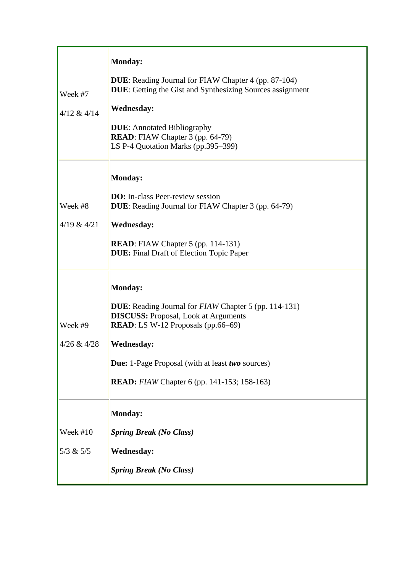| Week #7<br>4/12 & 4/14 | <b>Monday:</b><br><b>DUE:</b> Reading Journal for FIAW Chapter 4 (pp. 87-104)<br>DUE: Getting the Gist and Synthesizing Sources assignment<br><b>Wednesday:</b><br><b>DUE:</b> Annotated Bibliography<br><b>READ</b> : FIAW Chapter 3 (pp. 64-79)<br>LS P-4 Quotation Marks (pp.395-399)                                 |
|------------------------|--------------------------------------------------------------------------------------------------------------------------------------------------------------------------------------------------------------------------------------------------------------------------------------------------------------------------|
| Week #8<br>4/19 & 4/21 | <b>Monday:</b><br><b>DO:</b> In-class Peer-review session<br><b>DUE:</b> Reading Journal for FIAW Chapter 3 (pp. 64-79)<br><b>Wednesday:</b><br><b>READ:</b> FIAW Chapter 5 (pp. 114-131)<br><b>DUE:</b> Final Draft of Election Topic Paper                                                                             |
| Week #9<br>4/26 & 4/28 | <b>Monday:</b><br><b>DUE:</b> Reading Journal for <i>FIAW</i> Chapter 5 (pp. 114-131)<br><b>DISCUSS:</b> Proposal, Look at Arguments<br><b>READ</b> : LS W-12 Proposals (pp.66–69)<br><b>Wednesday:</b><br><b>Due:</b> 1-Page Proposal (with at least two sources)<br><b>READ:</b> FIAW Chapter 6 (pp. 141-153; 158-163) |
| Week #10<br> 5/3 & 5/5 | <b>Monday:</b><br><b>Spring Break (No Class)</b><br><b>Wednesday:</b><br><b>Spring Break (No Class)</b>                                                                                                                                                                                                                  |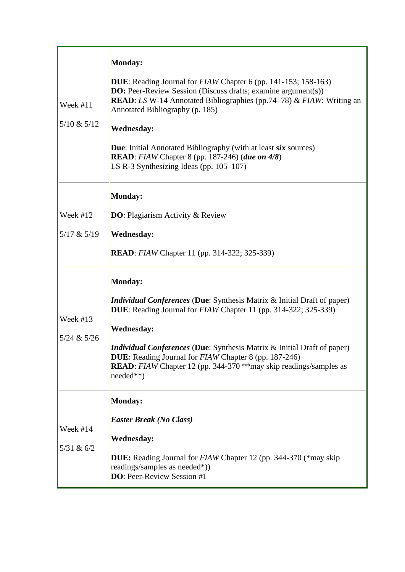| Week #11<br>5/10 & 5/12     | <b>Monday:</b><br><b>DUE:</b> Reading Journal for <i>FIAW</i> Chapter 6 (pp. 141-153; 158-163)<br><b>DO:</b> Peer-Review Session (Discuss drafts; examine argument(s))<br>READ: LS W-14 Annotated Bibliographies (pp.74-78) & FIAW: Writing an<br>Annotated Bibliography (p. 185)<br><b>Wednesday:</b><br><b>Due:</b> Initial Annotated Bibliography (with at least six sources)<br><b>READ</b> : FIAW Chapter 8 (pp. 187-246) (due on 4/8)<br>LS R-3 Synthesizing Ideas (pp. $105-107$ ) |
|-----------------------------|-------------------------------------------------------------------------------------------------------------------------------------------------------------------------------------------------------------------------------------------------------------------------------------------------------------------------------------------------------------------------------------------------------------------------------------------------------------------------------------------|
| Week #12<br>$5/17$ & $5/19$ | <b>Monday:</b><br><b>DO</b> : Plagiarism Activity & Review<br><b>Wednesday:</b><br><b>READ</b> : <i>FIAW</i> Chapter 11 (pp. 314-322; 325-339)                                                                                                                                                                                                                                                                                                                                            |
| Week #13<br>5/24 & 5/26     | <b>Monday:</b><br><i>Individual Conferences</i> (Due: Synthesis Matrix & Initial Draft of paper)<br><b>DUE:</b> Reading Journal for <i>FIAW</i> Chapter 11 (pp. 314-322; 325-339)<br><b>Wednesday:</b><br>Individual Conferences (Due: Synthesis Matrix & Initial Draft of paper)<br><b>DUE:</b> Reading Journal for <i>FIAW</i> Chapter 8 (pp. 187-246)<br><b>READ</b> : FIAW Chapter 12 (pp. 344-370 ** may skip readings/samples as<br>needed**)                                       |
| Week #14<br>5/31 & 6/2      | Monday:<br><b>Easter Break (No Class)</b><br><b>Wednesday:</b><br><b>DUE:</b> Reading Journal for <i>FIAW</i> Chapter 12 (pp. 344-370 (*may skip)<br>readings/samples as needed*))<br><b>DO:</b> Peer-Review Session #1                                                                                                                                                                                                                                                                   |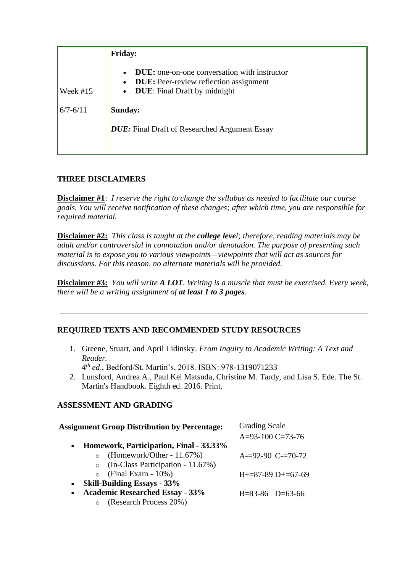|                          | <b>Friday:</b>                                                                                                                              |  |
|--------------------------|---------------------------------------------------------------------------------------------------------------------------------------------|--|
| $\sqrt{\text{Week #15}}$ | <b>DUE:</b> one-on-one conversation with instructor<br><b>DUE:</b> Peer-review reflection assignment<br><b>DUE:</b> Final Draft by midnight |  |
| $ 6/7 - 6/11 $           | Sunday:                                                                                                                                     |  |
|                          | <b>DUE:</b> Final Draft of Researched Argument Essay                                                                                        |  |

## **THREE DISCLAIMERS**

**Disclaimer #1**: *I reserve the right to change the syllabus as needed to facilitate our course goals. You will receive notification of these changes; after which time, you are responsible for required material.*

**Disclaimer #2:** *This class is taught at the college level; therefore, reading materials may be adult and/or controversial in connotation and/or denotation. The purpose of presenting such material is to expose you to various viewpoints—viewpoints that will act as sources for discussions. For this reason, no alternate materials will be provided.*

**Disclaimer #3:** *You will write A LOT. Writing is a muscle that must be exercised. Every week, there will be a writing assignment of at least 1 to 3 pages.*

# **REQUIRED TEXTS AND RECOMMENDED STUDY RESOURCES**

1. Greene, Stuart, and April Lidinsky. *From Inquiry to Academic Writing: A Text and Reader.*

*4 th ed*., Bedford/St. Martin's, 2018. ISBN: 978-1319071233

2. Lunsford, Andrea A., Paul Kei Matsuda, Christine M. Tardy, and Lisa S. Ede. The St. Martin's Handbook. Eighth ed. 2016. Print.

# **ASSESSMENT AND GRADING**

| <b>Assignment Group Distribution by Percentage:</b>  | <b>Grading Scale</b>  |  |
|------------------------------------------------------|-----------------------|--|
|                                                      | A=93-100 C=73-76      |  |
| Homework, Participation, Final - 33.33%<br>$\bullet$ |                       |  |
| (Homework/Other - 11.67%)<br>$\Omega$                | $A=92-90$ C- $=70-72$ |  |
| (In-Class Participation - 11.67%)<br>$\circ$         |                       |  |
| $(Final Exam - 10\%)$<br>$\circ$                     | $B+=87-89 D+=67-69$   |  |
| <b>Skill-Building Essays - 33%</b><br>$\bullet$      |                       |  |
| <b>Academic Researched Essay - 33%</b><br>$\bullet$  | $B=83-86$ $D=63-66$   |  |
| (Research Process 20%)                               |                       |  |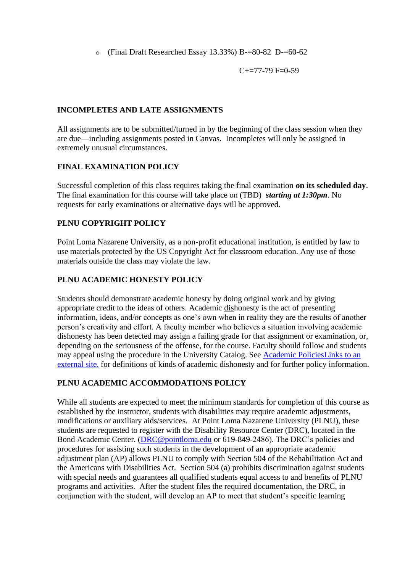o (Final Draft Researched Essay 13.33%) B-=80-82 D-=60-62

 $C+=77-79$  F=0-59

#### **INCOMPLETES AND LATE ASSIGNMENTS**

All assignments are to be submitted/turned in by the beginning of the class session when they are due—including assignments posted in Canvas. Incompletes will only be assigned in extremely unusual circumstances.

### **FINAL EXAMINATION POLICY**

Successful completion of this class requires taking the final examination **on its scheduled day**. The final examination for this course will take place on (TBD) *starting at 1:30pm*. No requests for early examinations or alternative days will be approved.

### **PLNU COPYRIGHT POLICY**

Point Loma Nazarene University, as a non-profit educational institution, is entitled by law to use materials protected by the US Copyright Act for classroom education. Any use of those materials outside the class may violate the law.

#### **PLNU ACADEMIC HONESTY POLICY**

Students should demonstrate academic honesty by doing original work and by giving appropriate credit to the ideas of others. Academic dishonesty is the act of presenting information, ideas, and/or concepts as one's own when in reality they are the results of another person's creativity and effort. A faculty member who believes a situation involving academic dishonesty has been detected may assign a failing grade for that assignment or examination, or, depending on the seriousness of the offense, for the course. Faculty should follow and students may appeal using the procedure in the University Catalog. See [Academic PoliciesLinks to an](http://catalog.pointloma.edu/content.php?catoid=18&navoid=1278)  [external site.](http://catalog.pointloma.edu/content.php?catoid=18&navoid=1278) for definitions of kinds of academic dishonesty and for further policy information.

### **PLNU ACADEMIC ACCOMMODATIONS POLICY**

While all students are expected to meet the minimum standards for completion of this course as established by the instructor, students with disabilities may require academic adjustments, modifications or auxiliary aids/services. At Point Loma Nazarene University (PLNU), these students are requested to register with the Disability Resource Center (DRC), located in the Bond Academic Center. [\(DRC@pointloma.edu](https://mail.google.com/mail/?view=cm&fs=1&tf=1&to=DRC@pointloma.edu) or 619-849-2486). The DRC's policies and procedures for assisting such students in the development of an appropriate academic adjustment plan (AP) allows PLNU to comply with Section 504 of the Rehabilitation Act and the Americans with Disabilities Act. Section 504 (a) prohibits discrimination against students with special needs and guarantees all qualified students equal access to and benefits of PLNU programs and activities. After the student files the required documentation, the DRC, in conjunction with the student, will develop an AP to meet that student's specific learning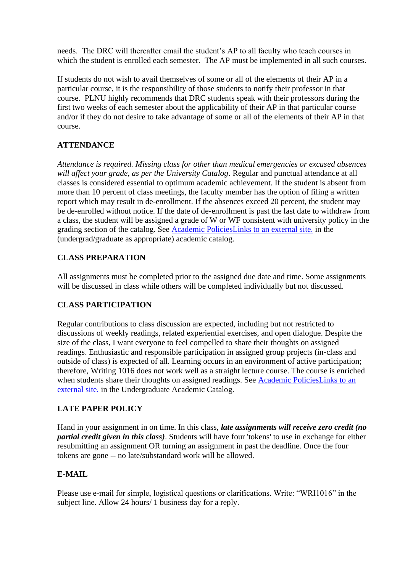needs. The DRC will thereafter email the student's AP to all faculty who teach courses in which the student is enrolled each semester. The AP must be implemented in all such courses.

If students do not wish to avail themselves of some or all of the elements of their AP in a particular course, it is the responsibility of those students to notify their professor in that course. PLNU highly recommends that DRC students speak with their professors during the first two weeks of each semester about the applicability of their AP in that particular course and/or if they do not desire to take advantage of some or all of the elements of their AP in that course.

### **ATTENDANCE**

*Attendance is required. Missing class for other than medical emergencies or excused absences will affect your grade*, *as per the University Catalog*. Regular and punctual attendance at all classes is considered essential to optimum academic achievement. If the student is absent from more than 10 percent of class meetings, the faculty member has the option of filing a written report which may result in de-enrollment. If the absences exceed 20 percent, the student may be de-enrolled without notice. If the date of de-enrollment is past the last date to withdraw from a class, the student will be assigned a grade of W or WF consistent with university policy in the grading section of the catalog. See [Academic PoliciesLinks to an external site.](http://catalog.pointloma.edu/content.php?catoid=24&navoid=1581) in the (undergrad/graduate as appropriate) academic catalog.

## **CLASS PREPARATION**

All assignments must be completed prior to the assigned due date and time. Some assignments will be discussed in class while others will be completed individually but not discussed.

### **CLASS PARTICIPATION**

Regular contributions to class discussion are expected, including but not restricted to discussions of weekly readings, related experiential exercises, and open dialogue. Despite the size of the class, I want everyone to feel compelled to share their thoughts on assigned readings. Enthusiastic and responsible participation in assigned group projects (in-class and outside of class) is expected of all. Learning occurs in an environment of active participation; therefore, Writing 1016 does not work well as a straight lecture course. The course is enriched when students share their thoughts on assigned readings. See Academic PoliciesLinks to an [external site.](http://catalog.pointloma.edu/content.php?catoid=18&navoid=1278) in the Undergraduate Academic Catalog.

### **LATE PAPER POLICY**

Hand in your assignment in on time. In this class, *late assignments will receive zero credit (no partial credit given in this class)*. Students will have four 'tokens' to use in exchange for either resubmitting an assignment OR turning an assignment in past the deadline. Once the four tokens are gone -- no late/substandard work will be allowed.

### **E-MAIL**

Please use e-mail for simple, logistical questions or clarifications. Write: "WRI1016" in the subject line. Allow 24 hours/ 1 business day for a reply.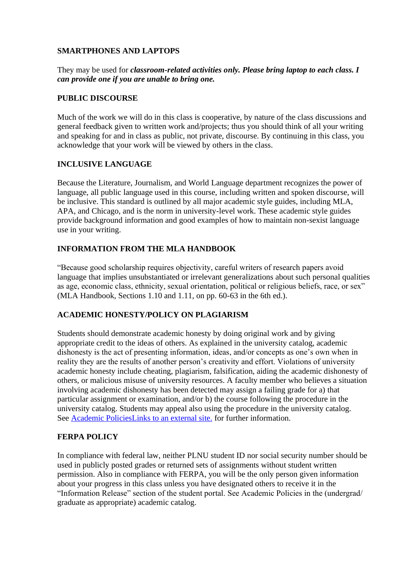### **SMARTPHONES AND LAPTOPS**

### They may be used for *classroom-related activities only. Please bring laptop to each class. I can provide one if you are unable to bring one.*

### **PUBLIC DISCOURSE**

Much of the work we will do in this class is cooperative, by nature of the class discussions and general feedback given to written work and/projects; thus you should think of all your writing and speaking for and in class as public, not private, discourse. By continuing in this class, you acknowledge that your work will be viewed by others in the class.

## **INCLUSIVE LANGUAGE**

Because the Literature, Journalism, and World Language department recognizes the power of language, all public language used in this course, including written and spoken discourse, will be inclusive. This standard is outlined by all major academic style guides, including MLA, APA, and Chicago, and is the norm in university-level work. These academic style guides provide background information and good examples of how to maintain non-sexist language use in your writing.

# **INFORMATION FROM THE MLA HANDBOOK**

"Because good scholarship requires objectivity, careful writers of research papers avoid language that implies unsubstantiated or irrelevant generalizations about such personal qualities as age, economic class, ethnicity, sexual orientation, political or religious beliefs, race, or sex" (MLA Handbook, Sections 1.10 and 1.11, on pp. 60-63 in the 6th ed.).

# **ACADEMIC HONESTY/POLICY ON PLAGIARISM**

Students should demonstrate academic honesty by doing original work and by giving appropriate credit to the ideas of others. As explained in the university catalog, academic dishonesty is the act of presenting information, ideas, and/or concepts as one's own when in reality they are the results of another person's creativity and effort. Violations of university academic honesty include cheating, plagiarism, falsification, aiding the academic dishonesty of others, or malicious misuse of university resources. A faculty member who believes a situation involving academic dishonesty has been detected may assign a failing grade for a) that particular assignment or examination, and/or b) the course following the procedure in the university catalog. Students may appeal also using the procedure in the university catalog. See [Academic PoliciesLinks to an external site.](http://catalog.pointloma.edu/content.php?catoid=24&navoid=1581#Academic_Honesty) for further information.

### **FERPA POLICY**

In compliance with federal law, neither PLNU student ID nor social security number should be used in publicly posted grades or returned sets of assignments without student written permission. Also in compliance with FERPA, you will be the only person given information about your progress in this class unless you have designated others to receive it in the "Information Release" section of the student portal. See Academic Policies in the (undergrad/ graduate as appropriate) academic catalog.